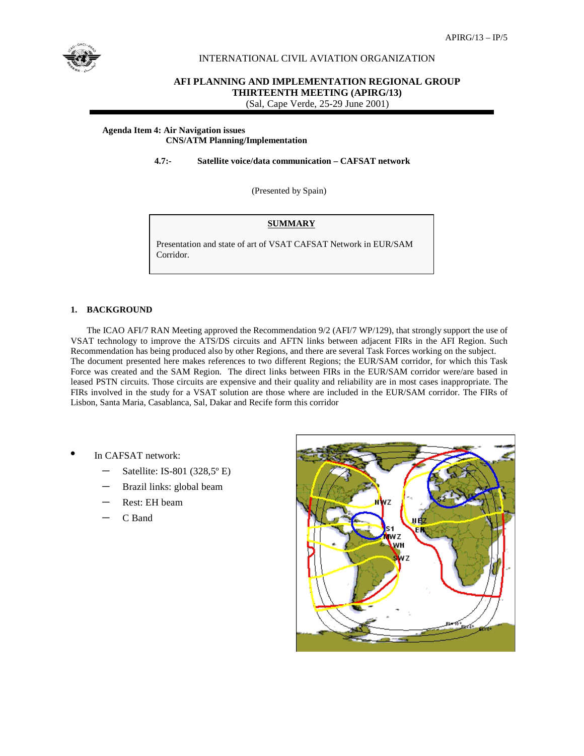

## INTERNATIONAL CIVIL AVIATION ORGANIZATION

# **AFI PLANNING AND IMPLEMENTATION REGIONAL GROUP THIRTEENTH MEETING (APIRG/13)**

(Sal, Cape Verde, 25-29 June 2001)

### **Agenda Item 4: Air Navigation issues**

## **CNS/ATM Planning/Implementation**

 **4.7:- Satellite voice/data communication – CAFSAT network** 

(Presented by Spain)

### **SUMMARY**

Presentation and state of art of VSAT CAFSAT Network in EUR/SAM Corridor.

### **1. BACKGROUND**

The ICAO AFI/7 RAN Meeting approved the Recommendation 9/2 (AFI/7 WP/129), that strongly support the use of VSAT technology to improve the ATS/DS circuits and AFTN links between adjacent FIRs in the AFI Region. Such Recommendation has being produced also by other Regions, and there are several Task Forces working on the subject. The document presented here makes references to two different Regions; the EUR/SAM corridor, for which this Task Force was created and the SAM Region. The direct links between FIRs in the EUR/SAM corridor were/are based in leased PSTN circuits. Those circuits are expensive and their quality and reliability are in most cases inappropriate. The FIRs involved in the study for a VSAT solution are those where are included in the EUR/SAM corridor. The FIRs of Lisbon, Santa Maria, Casablanca, Sal, Dakar and Recife form this corridor

- In CAFSAT network:
	- $-$  Satellite: IS-801 (328,5 $\degree$  E)
	- Brazil links: global beam
	- Rest: EH beam
	- C Band